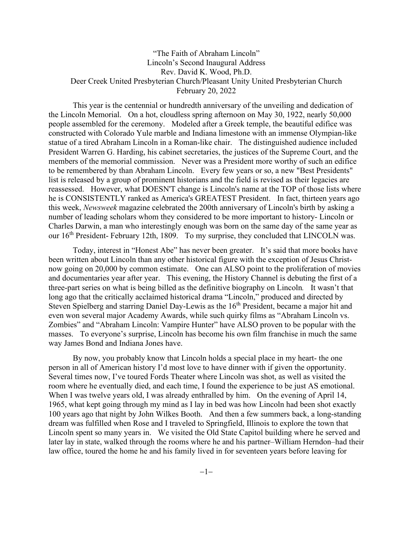## "The Faith of Abraham Lincoln" Lincoln's Second Inaugural Address Rev. David K. Wood, Ph.D. Deer Creek United Presbyterian Church/Pleasant Unity United Presbyterian Church February 20, 2022

This year is the centennial or hundredth anniversary of the unveiling and dedication of the Lincoln Memorial. On a hot, cloudless spring afternoon on May 30, 1922, nearly 50,000 people assembled for the ceremony. Modeled after a Greek temple, the beautiful edifice was constructed with Colorado Yule marble and Indiana limestone with an immense Olympian-like statue of a tired Abraham Lincoln in a Roman-like chair. The distinguished audience included President Warren G. Harding, his cabinet secretaries, the justices of the Supreme Court, and the members of the memorial commission. Never was a President more worthy of such an edifice to be remembered by than Abraham Lincoln. Every few years or so, a new "Best Presidents" list is released by a group of prominent historians and the field is revised as their legacies are reassessed. However, what DOESN'T change is Lincoln's name at the TOP of those lists where he is CONSISTENTLY ranked as America's GREATEST President. In fact, thirteen years ago this week, *Newsweek* magazine celebrated the 200th anniversary of Lincoln's birth by asking a number of leading scholars whom they considered to be more important to history- Lincoln or Charles Darwin, a man who interestingly enough was born on the same day of the same year as our 16<sup>th</sup> President- February 12th, 1809. To my surprise, they concluded that LINCOLN was.

Today, interest in "Honest Abe" has never been greater. It's said that more books have been written about Lincoln than any other historical figure with the exception of Jesus Christnow going on 20,000 by common estimate. One can ALSO point to the proliferation of movies and documentaries year after year. This evening, the History Channel is debuting the first of a three-part series on what is being billed as the definitive biography on Lincoln*.* It wasn't that long ago that the critically acclaimed historical drama "Lincoln," produced and directed by Steven Spielberg and starring Daniel Day-Lewis as the 16<sup>th</sup> President, became a major hit and even won several major Academy Awards, while such quirky films as "Abraham Lincoln vs. Zombies" and "Abraham Lincoln: Vampire Hunter" have ALSO proven to be popular with the masses. To everyone's surprise, Lincoln has become his own film franchise in much the same way James Bond and Indiana Jones have.

By now, you probably know that Lincoln holds a special place in my heart- the one person in all of American history I'd most love to have dinner with if given the opportunity. Several times now, I've toured Fords Theater where Lincoln was shot, as well as visited the room where he eventually died, and each time, I found the experience to be just AS emotional. When I was twelve years old, I was already enthralled by him. On the evening of April 14, 1965, what kept going through my mind as I lay in bed was how Lincoln had been shot exactly 100 years ago that night by John Wilkes Booth. And then a few summers back, a long-standing dream was fulfilled when Rose and I traveled to Springfield, Illinois to explore the town that Lincoln spent so many years in. We visited the Old State Capitol building where he served and later lay in state, walked through the rooms where he and his partner–William Herndon–had their law office, toured the home he and his family lived in for seventeen years before leaving for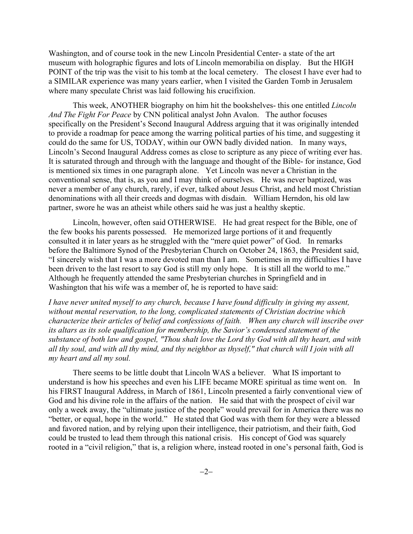Washington, and of course took in the new Lincoln Presidential Center- a state of the art museum with holographic figures and lots of Lincoln memorabilia on display. But the HIGH POINT of the trip was the visit to his tomb at the local cemetery. The closest I have ever had to a SIMILAR experience was many years earlier, when I visited the Garden Tomb in Jerusalem where many speculate Christ was laid following his crucifixion.

This week, ANOTHER biography on him hit the bookshelves- this one entitled *Lincoln And The Fight For Peace* by CNN political analyst John Avalon. The author focuses specifically on the President's Second Inaugural Address arguing that it was originally intended to provide a roadmap for peace among the warring political parties of his time, and suggesting it could do the same for US, TODAY, within our OWN badly divided nation. In many ways, Lincoln's Second Inaugural Address comes as close to scripture as any piece of writing ever has. It is saturated through and through with the language and thought of the Bible- for instance, God is mentioned six times in one paragraph alone. Yet Lincoln was never a Christian in the conventional sense, that is, as you and I may think of ourselves. He was never baptized, was never a member of any church, rarely, if ever, talked about Jesus Christ, and held most Christian denominations with all their creeds and dogmas with disdain. William Herndon, his old law partner, swore he was an atheist while others said he was just a healthy skeptic.

Lincoln, however, often said OTHERWISE. He had great respect for the Bible, one of the few books his parents possessed. He memorized large portions of it and frequently consulted it in later years as he struggled with the "mere quiet power" of God. In remarks before the Baltimore Synod of the Presbyterian Church on October 24, 1863, the President said, "I sincerely wish that I was a more devoted man than I am. Sometimes in my difficulties I have been driven to the last resort to say God is still my only hope. It is still all the world to me." Although he frequently attended the same Presbyterian churches in Springfield and in Washington that his wife was a member of, he is reported to have said:

*I have never united myself to any church, because I have found difficulty in giving my assent, without mental reservation, to the long, complicated statements of Christian doctrine which characterize their articles of belief and confessions of faith. When any church will inscribe over its altars as its sole qualification for membership, the Savior's condensed statement of the substance of both law and gospel, "Thou shalt love the Lord thy God with all thy heart, and with all thy soul, and with all thy mind, and thy neighbor as thyself," that church will I join with all my heart and all my soul.*

There seems to be little doubt that Lincoln WAS a believer. What IS important to understand is how his speeches and even his LIFE became MORE spiritual as time went on. In his FIRST Inaugural Address, in March of 1861, Lincoln presented a fairly conventional view of God and his divine role in the affairs of the nation. He said that with the prospect of civil war only a week away, the "ultimate justice of the people" would prevail for in America there was no "better, or equal, hope in the world." He stated that God was with them for they were a blessed and favored nation, and by relying upon their intelligence, their patriotism, and their faith, God could be trusted to lead them through this national crisis. His concept of God was squarely rooted in a "civil religion," that is, a religion where, instead rooted in one's personal faith, God is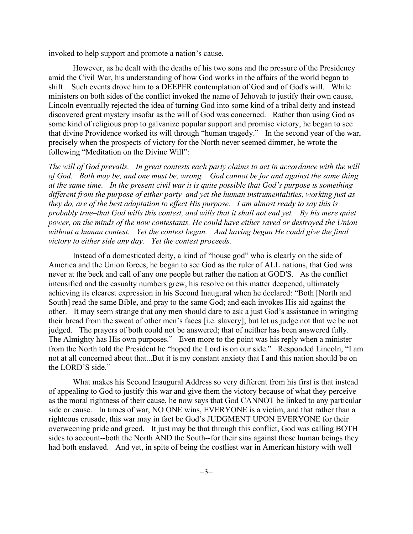invoked to help support and promote a nation's cause.

However, as he dealt with the deaths of his two sons and the pressure of the Presidency amid the Civil War, his understanding of how God works in the affairs of the world began to shift. Such events drove him to a DEEPER contemplation of God and of God's will. While ministers on both sides of the conflict invoked the name of Jehovah to justify their own cause, Lincoln eventually rejected the idea of turning God into some kind of a tribal deity and instead discovered great mystery insofar as the will of God was concerned. Rather than using God as some kind of religious prop to galvanize popular support and promise victory, he began to see that divine Providence worked its will through "human tragedy." In the second year of the war, precisely when the prospects of victory for the North never seemed dimmer, he wrote the following "Meditation on the Divine Will":

*The will of God prevails. In great contests each party claims to act in accordance with the will of God. Both may be, and one must be, wrong. God cannot be for and against the same thing at the same time. In the present civil war it is quite possible that God's purpose is something different from the purpose of either party–and yet the human instrumentalities, working just as they do, are of the best adaptation to effect His purpose. I am almost ready to say this is probably true–that God wills this contest, and wills that it shall not end yet. By his mere quiet power, on the minds of the now contestants, He could have either saved or destroyed the Union without a human contest. Yet the contest began. And having begun He could give the final victory to either side any day. Yet the contest proceeds.*

Instead of a domesticated deity, a kind of "house god" who is clearly on the side of America and the Union forces, he began to see God as the ruler of ALL nations, that God was never at the beck and call of any one people but rather the nation at GOD'S. As the conflict intensified and the casualty numbers grew, his resolve on this matter deepened, ultimately achieving its clearest expression in his Second Inaugural when he declared: "Both [North and South] read the same Bible, and pray to the same God; and each invokes His aid against the other. It may seem strange that any men should dare to ask a just God's assistance in wringing their bread from the sweat of other men's faces [i.e. slavery]; but let us judge not that we be not judged. The prayers of both could not be answered; that of neither has been answered fully. The Almighty has His own purposes." Even more to the point was his reply when a minister from the North told the President he "hoped the Lord is on our side." Responded Lincoln, "I am not at all concerned about that...But it is my constant anxiety that I and this nation should be on the LORD'S side."

What makes his Second Inaugural Address so very different from his first is that instead of appealing to God to justify this war and give them the victory because of what they perceive as the moral rightness of their cause, he now says that God CANNOT be linked to any particular side or cause. In times of war, NO ONE wins, EVERYONE is a victim, and that rather than a righteous crusade, this war may in fact be God's JUDGMENT UPON EVERYONE for their overweening pride and greed. It just may be that through this conflict, God was calling BOTH sides to account--both the North AND the South--for their sins against those human beings they had both enslaved. And yet, in spite of being the costliest war in American history with well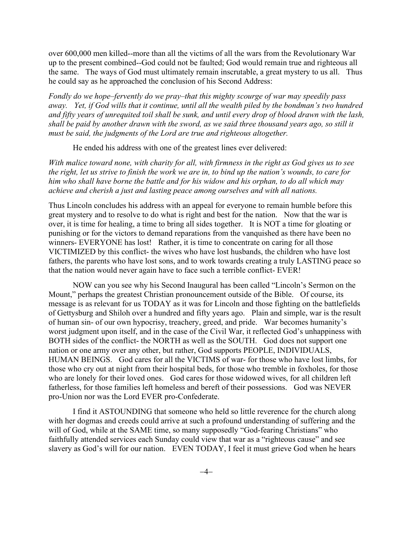over 600,000 men killed--more than all the victims of all the wars from the Revolutionary War up to the present combined--God could not be faulted; God would remain true and righteous all the same. The ways of God must ultimately remain inscrutable, a great mystery to us all. Thus he could say as he approached the conclusion of his Second Address:

*Fondly do we hope–fervently do we pray–that this mighty scourge of war may speedily pass away. Yet, if God wills that it continue, until all the wealth piled by the bondman's two hundred and fifty years of unrequited toil shall be sunk, and until every drop of blood drawn with the lash, shall be paid by another drawn with the sword, as we said three thousand years ago, so still it must be said, the judgments of the Lord are true and righteous altogether.*

He ended his address with one of the greatest lines ever delivered:

*With malice toward none, with charity for all, with firmness in the right as God gives us to see the right, let us strive to finish the work we are in, to bind up the nation's wounds, to care for him who shall have borne the battle and for his widow and his orphan, to do all which may achieve and cherish a just and lasting peace among ourselves and with all nations.*

Thus Lincoln concludes his address with an appeal for everyone to remain humble before this great mystery and to resolve to do what is right and best for the nation. Now that the war is over, it is time for healing, a time to bring all sides together. It is NOT a time for gloating or punishing or for the victors to demand reparations from the vanquished as there have been no winners- EVERYONE has lost! Rather, it is time to concentrate on caring for all those VICTIMIZED by this conflict- the wives who have lost husbands, the children who have lost fathers, the parents who have lost sons, and to work towards creating a truly LASTING peace so that the nation would never again have to face such a terrible conflict- EVER!

NOW can you see why his Second Inaugural has been called "Lincoln's Sermon on the Mount," perhaps the greatest Christian pronouncement outside of the Bible. Of course, its message is as relevant for us TODAY as it was for Lincoln and those fighting on the battlefields of Gettysburg and Shiloh over a hundred and fifty years ago. Plain and simple, war is the result of human sin- of our own hypocrisy, treachery, greed, and pride. War becomes humanity's worst judgment upon itself, and in the case of the Civil War, it reflected God's unhappiness with BOTH sides of the conflict- the NORTH as well as the SOUTH. God does not support one nation or one army over any other, but rather, God supports PEOPLE, INDIVIDUALS, HUMAN BEINGS. God cares for all the VICTIMS of war- for those who have lost limbs, for those who cry out at night from their hospital beds, for those who tremble in foxholes, for those who are lonely for their loved ones. God cares for those widowed wives, for all children left fatherless, for those families left homeless and bereft of their possessions. God was NEVER pro-Union nor was the Lord EVER pro-Confederate.

I find it ASTOUNDING that someone who held so little reverence for the church along with her dogmas and creeds could arrive at such a profound understanding of suffering and the will of God, while at the SAME time, so many supposedly "God-fearing Christians" who faithfully attended services each Sunday could view that war as a "righteous cause" and see slavery as God's will for our nation. EVEN TODAY, I feel it must grieve God when he hears